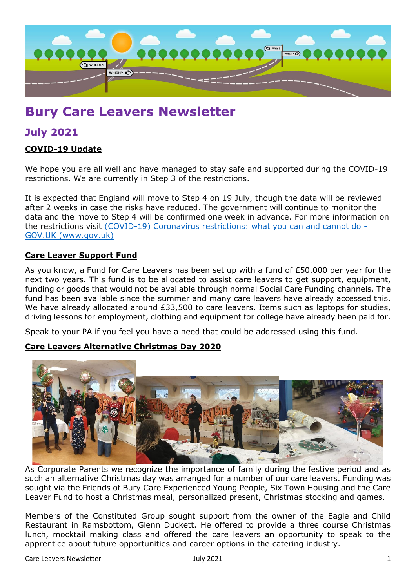

# **Bury Care Leavers Newsletter**

# **July 2021**

#### **COVID-19 Update**

We hope you are all well and have managed to stay safe and supported during the COVID-19 restrictions. We are currently in Step 3 of the restrictions.

It is expected that England will move to Step 4 on 19 July, though the data will be reviewed after 2 weeks in case the risks have reduced. The government will continue to monitor the data and the move to Step 4 will be confirmed one week in advance. For more information on the restrictions visit [\(COVID-19\) Coronavirus restrictions: what you can and cannot do -](https://www.gov.uk/guidance/covid-19-coronavirus-restrictions-what-you-can-and-cannot-do?priority-taxon=774cee22-d896-44c1-a611-e3109cce8eae) [GOV.UK \(www.gov.uk\)](https://www.gov.uk/guidance/covid-19-coronavirus-restrictions-what-you-can-and-cannot-do?priority-taxon=774cee22-d896-44c1-a611-e3109cce8eae)

#### **Care Leaver Support Fund**

As you know, a Fund for Care Leavers has been set up with a fund of £50,000 per year for the next two years. This fund is to be allocated to assist care leavers to get support, equipment, funding or goods that would not be available through normal Social Care Funding channels. The fund has been available since the summer and many care leavers have already accessed this. We have already allocated around £33,500 to care leavers. Items such as laptops for studies, driving lessons for employment, clothing and equipment for college have already been paid for.

Speak to your PA if you feel you have a need that could be addressed using this fund.

#### **Care Leavers Alternative Christmas Day 2020**



As Corporate Parents we recognize the importance of family during the festive period and as such an alternative Christmas day was arranged for a number of our care leavers. Funding was sought via the Friends of Bury Care Experienced Young People, Six Town Housing and the Care Leaver Fund to host a Christmas meal, personalized present, Christmas stocking and games.

Members of the Constituted Group sought support from the owner of the Eagle and Child Restaurant in Ramsbottom, Glenn Duckett. He offered to provide a three course Christmas lunch, mocktail making class and offered the care leavers an opportunity to speak to the apprentice about future opportunities and career options in the catering industry.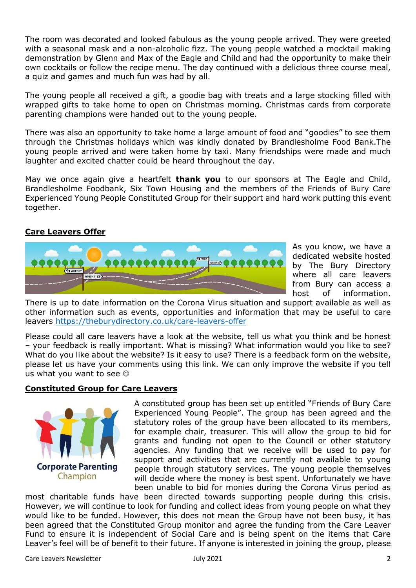The room was decorated and looked fabulous as the young people arrived. They were greeted with a seasonal mask and a non-alcoholic fizz. The young people watched a mocktail making demonstration by Glenn and Max of the Eagle and Child and had the opportunity to make their own cocktails or follow the recipe menu. The day continued with a delicious three course meal, a quiz and games and much fun was had by all.

The young people all received a gift, a goodie bag with treats and a large stocking filled with wrapped gifts to take home to open on Christmas morning. Christmas cards from corporate parenting champions were handed out to the young people.

There was also an opportunity to take home a large amount of food and "goodies" to see them through the Christmas holidays which was kindly donated by Brandlesholme Food Bank.The young people arrived and were taken home by taxi. Many friendships were made and much laughter and excited chatter could be heard throughout the day.

May we once again give a heartfelt **thank you** to our sponsors at The Eagle and Child, Brandlesholme Foodbank, Six Town Housing and the members of the Friends of Bury Care Experienced Young People Constituted Group for their support and hard work putting this event together.

#### **Care Leavers Offer**



As you know, we have a dedicated website hosted by The Bury Directory where all care leavers from Bury can access a host of information.

There is up to date information on the Corona Virus situation and support available as well as other information such as events, opportunities and information that may be useful to care leavers<https://theburydirectory.co.uk/care-leavers-offer>

Please could all care leavers have a look at the website, tell us what you think and be honest – your feedback is really important. What is missing? What information would you like to see? What do you like about the website? Is it easy to use? There is a feedback form on the website, please let us have your comments using this link. We can only improve the website if you tell us what you want to see  $\odot$ 

#### **Constituted Group for Care Leavers**



A constituted group has been set up entitled "Friends of Bury Care Experienced Young People". The group has been agreed and the statutory roles of the group have been allocated to its members, for example chair, treasurer. This will allow the group to bid for grants and funding not open to the Council or other statutory agencies. Any funding that we receive will be used to pay for support and activities that are currently not available to young people through statutory services. The young people themselves will decide where the money is best spent. Unfortunately we have been unable to bid for monies during the Corona Virus period as

most charitable funds have been directed towards supporting people during this crisis. However, we will continue to look for funding and collect ideas from young people on what they would like to be funded. However, this does not mean the Group have not been busy, it has been agreed that the Constituted Group monitor and agree the funding from the Care Leaver Fund to ensure it is independent of Social Care and is being spent on the items that Care Leaver's feel will be of benefit to their future. If anyone is interested in joining the group, please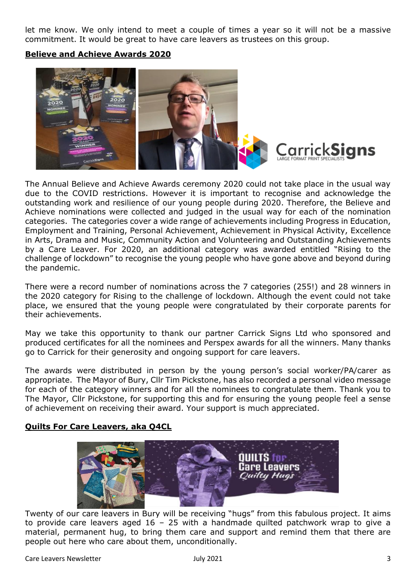let me know. We only intend to meet a couple of times a year so it will not be a massive commitment. It would be great to have care leavers as trustees on this group.

**Believe and Achieve Awards 2020**



The Annual Believe and Achieve Awards ceremony 2020 could not take place in the usual way due to the COVID restrictions. However it is important to recognise and acknowledge the outstanding work and resilience of our young people during 2020. Therefore, the Believe and Achieve nominations were collected and judged in the usual way for each of the nomination categories. The categories cover a wide range of achievements including Progress in Education, Employment and Training, Personal Achievement, Achievement in Physical Activity, Excellence in Arts, Drama and Music, Community Action and Volunteering and Outstanding Achievements by a Care Leaver. For 2020, an additional category was awarded entitled "Rising to the challenge of lockdown" to recognise the young people who have gone above and beyond during the pandemic.

There were a record number of nominations across the 7 categories (255!) and 28 winners in the 2020 category for Rising to the challenge of lockdown. Although the event could not take place, we ensured that the young people were congratulated by their corporate parents for their achievements.

May we take this opportunity to thank our partner Carrick Signs Ltd who sponsored and produced certificates for all the nominees and Perspex awards for all the winners. Many thanks go to Carrick for their generosity and ongoing support for care leavers.

The awards were distributed in person by the young person's social worker/PA/carer as appropriate. The Mayor of Bury, Cllr Tim Pickstone, has also recorded a personal video message for each of the category winners and for all the nominees to congratulate them. Thank you to The Mayor, Cllr Pickstone, for supporting this and for ensuring the young people feel a sense of achievement on receiving their award. Your support is much appreciated.

## **Quilts For Care Leavers, aka Q4CL**



Twenty of our care leavers in Bury will be receiving "hugs" from this fabulous project. It aims to provide care leavers aged  $16 - 25$  with a handmade quilted patchwork wrap to give a material, permanent hug, to bring them care and support and remind them that there are people out here who care about them, unconditionally.